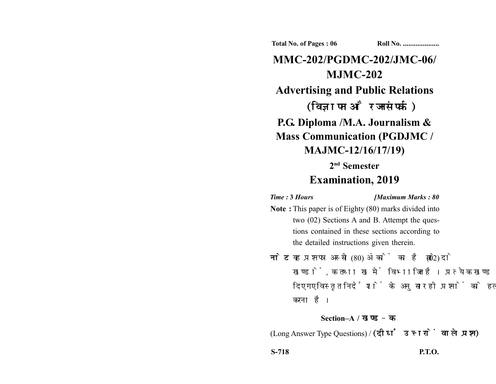**Total No. of Pages : 06 Roll No. ...................** 

# **MMC-202/PGDMC-202/JMC-06/ MJMC-202 Advertising and Public Relations** (विज्ञापन और जनसंपर्क) **P.G. Diploma /M.A. Journalism & Mass Communication (PGDJMC / MAJMC-12/16/17/19)**

## **2nd Semester Examination, 2019**

#### *Time :* **3** *Hours [Maximum Marks : 80*

- **Note :** This paper is of Eighty (80) marks divided into two (02) Sections A and B. Attempt the questions contained in these sections according to the detailed instructions given therein.
- नोट: यह प्रश्नपत्र अस्सी (80) अंकों का है जो दो (02) खण्डों, क तथा ख में विभाजित है। प्रत्येक खण्ड में दिए गए विस्तृत निर्देशों के अनुसार ही प्रश्नों को हल करना है।

### **Section–A /**

(Long Answer Type Questions) / (दीर्घ उत्तरों वाले प्रश्न)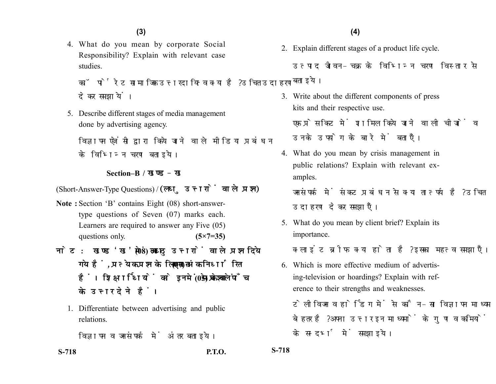4. What do you mean by corporate Social Responsibility? Explain with relevant case studies.

कॉर्पोरेट सामाजिक उत्तरदायित्व क्या है? उचित उदाहरण देकर समझायें।

5. Describe different stages of media management done by advertising agency.

विज्ञापन एजेंसी द्वारा किये जाने वाले मीडिया प्रबंधन के विभिन्न चरण बताइये।

#### **Section–B /**

(Short-Answer-Type Questions) / (लघु उत्तरों वाले प्रश्न)

- **Note :** Section 'B' contains Eight (08) short-answertype questions of Seven (07) marks each. Learners are required to answer any Five (05) questions only. **(5×7=35)**
- नोट: खण्ड'ख' में आठ (08) लघु उत्तरों वाले प्रश्न दिये गये हैं, प्रत्येक प्रश्न के लिए सात (07) अंक निर्धारित हैं। शिक्षार्थियों को इनमें से केवल पाँच (05) प्रश्नों के उत्तर देने हैं।
	- 1. Differentiate between advertising and public relations.

विज्ञापन व जनसंपर्क में अंतर बताइये।

- 2. Explain different stages of a product life cycle.
	- उत्पाद जीवन-चक्र के विभिन्न चरण विस्तार से बताइये।
- 3. Write about the different components of press kits and their respective use.

एक प्रेस किट में शामिल किये जाने वाली चीजों व उनके उपयोग के बारे में बताएँ।

- 4. What do you mean by crisis management in public relations? Explain with relevant examples.
	- जनसंपर्क में संकट प्रबंधन से क्या तात्पर्य है? उचित उदाहरण देकर समझाएँ।
- 5. What do you mean by client brief? Explain its importance.

क्लाइंट ब्रीफ क्या होता है? इसका महत्व समझाएँ।

6. Which is more effective medium of advertising-television or hoardings? Explain with reference to their strengths and weaknesses.

टेलीविजन व होर्डिंग में से कौन-सा विज्ञापन माध्यम बेहतर है? अपना उत्तर इन माध्यमों के गण व कमियों के सन्दर्भ में समझाइये।

**S-718 P.T.O. S-718**